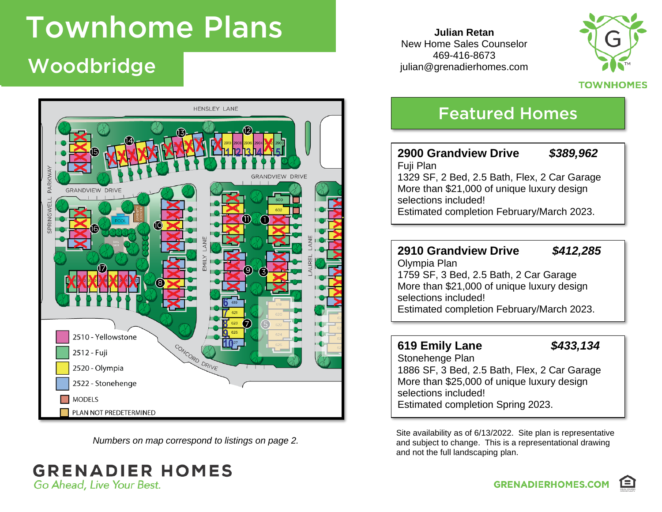# Woodbridge **Theory**



*Numbers on map correspond to listings on page 2.*

### **GRENADIER HOMES** Go Ahead, Live Your Best.

**Julian Retan** New Home Sales Counselor 469-416-8673 julian@grenadierhomes.com



**TOWNHOMES** 

## Featured Homes

#### **2900 Grandview Drive** *\$389,962* Fuji Plan 1329 SF, 2 Bed, 2.5 Bath, Flex, 2 Car Garage More than \$21,000 of unique luxury design selections included! Estimated completion February/March 2023.

#### **2910 Grandview Drive** *\$412,285*

Olympia Plan 1759 SF, 3 Bed, 2.5 Bath, 2 Car Garage More than \$21,000 of unique luxury design selections included! Estimated completion February/March 2023.

#### **619 Emily Lane** *\$433,134*

Stonehenge Plan 1886 SF, 3 Bed, 2.5 Bath, Flex, 2 Car Garage More than \$25,000 of unique luxury design selections included! Estimated completion Spring 2023.

Site availability as of 6/13/2022. Site plan is representative and subject to change. This is a representational drawing and not the full landscaping plan.